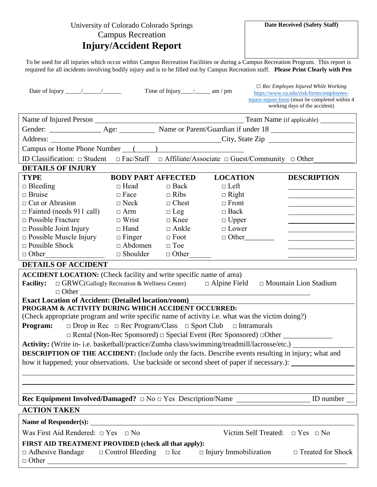| University of Colorado Colorado Springs<br><b>Campus Recreation</b><br><b>Injury/Accident Report</b>                                                                                                                        |                            |                                     |                                                                                  | Date Received (Safety Staff)                                                                                                                                                                                                                                              |  |
|-----------------------------------------------------------------------------------------------------------------------------------------------------------------------------------------------------------------------------|----------------------------|-------------------------------------|----------------------------------------------------------------------------------|---------------------------------------------------------------------------------------------------------------------------------------------------------------------------------------------------------------------------------------------------------------------------|--|
|                                                                                                                                                                                                                             |                            |                                     |                                                                                  | To be used for all injuries which occur within Campus Recreation Facilities or during a Campus Recreation Program. This report is<br>required for all incidents involving bodily injury and is to be filled out by Campus Recreation staff. Please Print Clearly with Pen |  |
|                                                                                                                                                                                                                             |                            | Time of Injury_____:_______ am / pm |                                                                                  | $\Box$ Rec Employee Injured While Working<br>https://www.cu.edu/risk/forms/employees-<br>injury-report-form (must be completed within 4<br>working days of the accident)                                                                                                  |  |
|                                                                                                                                                                                                                             |                            |                                     |                                                                                  |                                                                                                                                                                                                                                                                           |  |
|                                                                                                                                                                                                                             |                            |                                     |                                                                                  |                                                                                                                                                                                                                                                                           |  |
|                                                                                                                                                                                                                             |                            |                                     |                                                                                  |                                                                                                                                                                                                                                                                           |  |
|                                                                                                                                                                                                                             |                            |                                     |                                                                                  |                                                                                                                                                                                                                                                                           |  |
|                                                                                                                                                                                                                             |                            |                                     |                                                                                  |                                                                                                                                                                                                                                                                           |  |
| ID Classification: $\Box$ Student                                                                                                                                                                                           | $\Box$ Fac/Staff           |                                     |                                                                                  | $\Box$ Affiliate/Associate $\Box$ Guest/Community $\Box$ Other                                                                                                                                                                                                            |  |
| <b>DETAILS OF INJURY</b>                                                                                                                                                                                                    |                            |                                     |                                                                                  |                                                                                                                                                                                                                                                                           |  |
| <b>TYPE</b>                                                                                                                                                                                                                 | <b>BODY PART AFFECTED</b>  |                                     | <b>LOCATION</b>                                                                  | <b>DESCRIPTION</b>                                                                                                                                                                                                                                                        |  |
| $\Box$ Bleeding<br>$\Box$ Bruise                                                                                                                                                                                            | $\Box$ Head<br>$\Box$ Face | $\Box$ Back<br>$\Box$ Ribs          | $\Box$ Left                                                                      |                                                                                                                                                                                                                                                                           |  |
| $\Box$ Cut or Abrasion                                                                                                                                                                                                      | $\Box$ Neck                | $\Box$ Chest                        | $\Box$ Right<br>$\Box$ Front                                                     |                                                                                                                                                                                                                                                                           |  |
| $\Box$ Fainted (needs 911 call)                                                                                                                                                                                             | $\Box$ Arm                 | $\Box$ Leg                          | $\Box$ Back                                                                      |                                                                                                                                                                                                                                                                           |  |
| $\Box$ Possible Fracture                                                                                                                                                                                                    | $\Box$ Wrist               | $\Box$ Knee                         | $\Box$ Upper                                                                     |                                                                                                                                                                                                                                                                           |  |
| $\Box$ Possible Joint Injury                                                                                                                                                                                                | $\Box$ Hand                | $\Box$ Ankle                        | $\Box$ Lower                                                                     |                                                                                                                                                                                                                                                                           |  |
| $\Box$ Possible Muscle Injury                                                                                                                                                                                               | $\Box$ Finger              | $\Box$ Foot                         | $\Box$ Other                                                                     |                                                                                                                                                                                                                                                                           |  |
| $\Box$ Possible Shock                                                                                                                                                                                                       | $\Box$ Abdomen             | $\Box$ Toe                          |                                                                                  |                                                                                                                                                                                                                                                                           |  |
| $\Box$ Other                                                                                                                                                                                                                | $\Box$ Shoulder            | $\Box$ Other                        |                                                                                  |                                                                                                                                                                                                                                                                           |  |
| <b>DETAILS OF ACCIDENT</b>                                                                                                                                                                                                  |                            |                                     |                                                                                  |                                                                                                                                                                                                                                                                           |  |
| <b>ACCIDENT LOCATION:</b> (Check facility and write specific name of area)<br>$\Box$ Mountain Lion Stadium<br>$\Box$ GRWC(Gallogly Recreation & Wellness Center)<br>$\Box$ Alpine Field<br><b>Facility:</b><br>$\Box$ Other |                            |                                     |                                                                                  |                                                                                                                                                                                                                                                                           |  |
| <b>Exact Location of Accident: (Detailed location/room)</b>                                                                                                                                                                 |                            |                                     |                                                                                  |                                                                                                                                                                                                                                                                           |  |
| PROGRAM & ACTIVITY DURING WHICH ACCIDENT OCCURRED:                                                                                                                                                                          |                            |                                     |                                                                                  |                                                                                                                                                                                                                                                                           |  |
| (Check appropriate program and write specific name of activity i.e. what was the victim doing?)                                                                                                                             |                            |                                     |                                                                                  |                                                                                                                                                                                                                                                                           |  |
| Program:                                                                                                                                                                                                                    |                            |                                     | $\Box$ Drop in Rec $\Box$ Rec Program/Class $\Box$ Sport Club $\Box$ Intramurals |                                                                                                                                                                                                                                                                           |  |
|                                                                                                                                                                                                                             |                            |                                     |                                                                                  | □ Rental (Non-Rec Sponsored) □ Special Event (Rec Sponsored) □ Other ___________                                                                                                                                                                                          |  |
| Activity: (Write in- i.e. basketball/practice/Zumba class/swimming/treadmill/lacrosse/etc.) ______                                                                                                                          |                            |                                     |                                                                                  |                                                                                                                                                                                                                                                                           |  |
| DESCRIPTION OF THE ACCIDENT: (Include only the facts. Describe events resulting in injury; what and                                                                                                                         |                            |                                     |                                                                                  |                                                                                                                                                                                                                                                                           |  |
| how it happened; your observations. Use backside or second sheet of paper if necessary.): ________________                                                                                                                  |                            |                                     |                                                                                  |                                                                                                                                                                                                                                                                           |  |
|                                                                                                                                                                                                                             |                            |                                     |                                                                                  |                                                                                                                                                                                                                                                                           |  |
|                                                                                                                                                                                                                             |                            |                                     |                                                                                  |                                                                                                                                                                                                                                                                           |  |
|                                                                                                                                                                                                                             |                            |                                     |                                                                                  |                                                                                                                                                                                                                                                                           |  |
|                                                                                                                                                                                                                             |                            |                                     |                                                                                  | ID number                                                                                                                                                                                                                                                                 |  |
| <b>ACTION TAKEN</b>                                                                                                                                                                                                         |                            |                                     |                                                                                  |                                                                                                                                                                                                                                                                           |  |
|                                                                                                                                                                                                                             |                            |                                     |                                                                                  |                                                                                                                                                                                                                                                                           |  |
| Was First Aid Rendered: $\Box$ Yes $\Box$ No                                                                                                                                                                                |                            |                                     |                                                                                  | Victim Self Treated: $\Box$ Yes $\Box$ No                                                                                                                                                                                                                                 |  |
| FIRST AID TREATMENT PROVIDED (check all that apply):<br>$\Box$ Adhesive Bandage $\Box$ Control Bleeding<br>$\Box$ Ice<br>$\Box$ Injury Immobilization<br>$\Box$ Treated for Shock<br>$\Box$ Other                           |                            |                                     |                                                                                  |                                                                                                                                                                                                                                                                           |  |